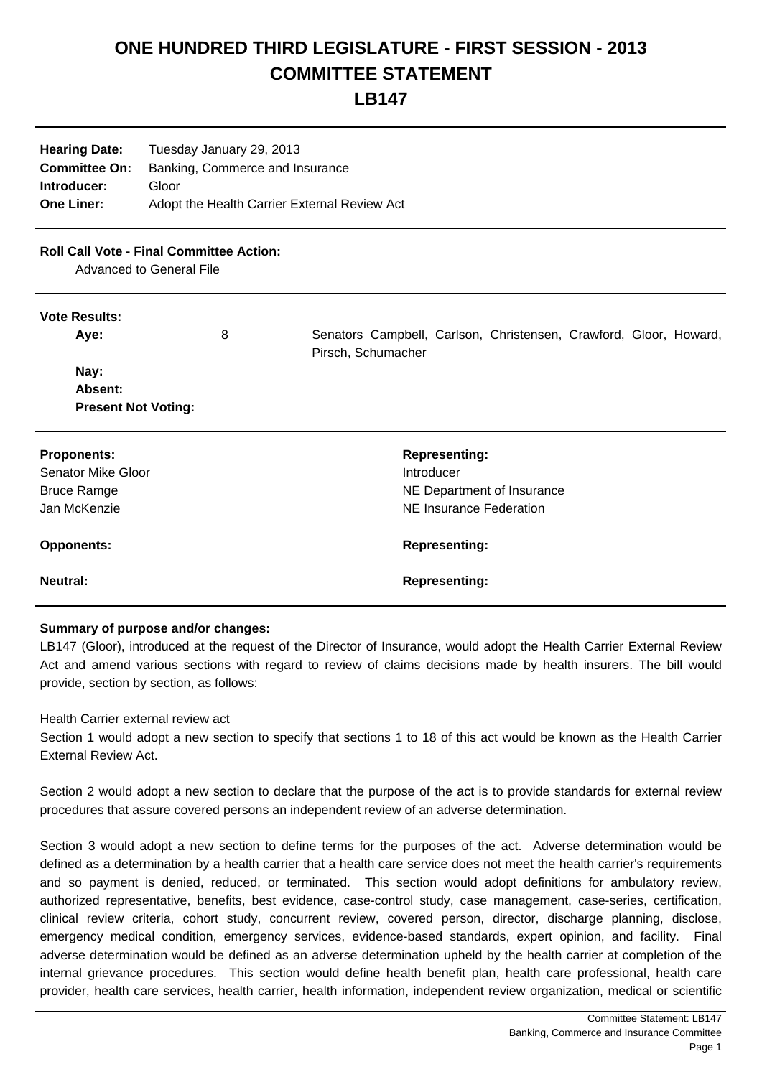# **ONE HUNDRED THIRD LEGISLATURE - FIRST SESSION - 2013 COMMITTEE STATEMENT**

**LB147**

| <b>Hearing Date:</b> | Tuesday January 29, 2013                     |
|----------------------|----------------------------------------------|
| <b>Committee On:</b> | Banking, Commerce and Insurance              |
| Introducer:          | Gloor                                        |
| <b>One Liner:</b>    | Adopt the Health Carrier External Review Act |
|                      |                                              |

## **Roll Call Vote - Final Committee Action:**

Advanced to General File

#### **Vote Results:**

| <b>Proponents:</b><br><b>Senator Mike Gloor</b> | <b>Representing:</b><br>Introducer |
|-------------------------------------------------|------------------------------------|
| <b>Bruce Ramge</b>                              | NE Department of Insurance         |
|                                                 |                                    |
| Jan McKenzie                                    | NE Insurance Federation            |

#### **Neutral: Representing:**

### **Summary of purpose and/or changes:**

LB147 (Gloor), introduced at the request of the Director of Insurance, would adopt the Health Carrier External Review Act and amend various sections with regard to review of claims decisions made by health insurers. The bill would provide, section by section, as follows:

## Health Carrier external review act

Section 1 would adopt a new section to specify that sections 1 to 18 of this act would be known as the Health Carrier External Review Act.

Section 2 would adopt a new section to declare that the purpose of the act is to provide standards for external review procedures that assure covered persons an independent review of an adverse determination.

Section 3 would adopt a new section to define terms for the purposes of the act. Adverse determination would be defined as a determination by a health carrier that a health care service does not meet the health carrier's requirements and so payment is denied, reduced, or terminated. This section would adopt definitions for ambulatory review, authorized representative, benefits, best evidence, case-control study, case management, case-series, certification, clinical review criteria, cohort study, concurrent review, covered person, director, discharge planning, disclose, emergency medical condition, emergency services, evidence-based standards, expert opinion, and facility. Final adverse determination would be defined as an adverse determination upheld by the health carrier at completion of the internal grievance procedures. This section would define health benefit plan, health care professional, health care provider, health care services, health carrier, health information, independent review organization, medical or scientific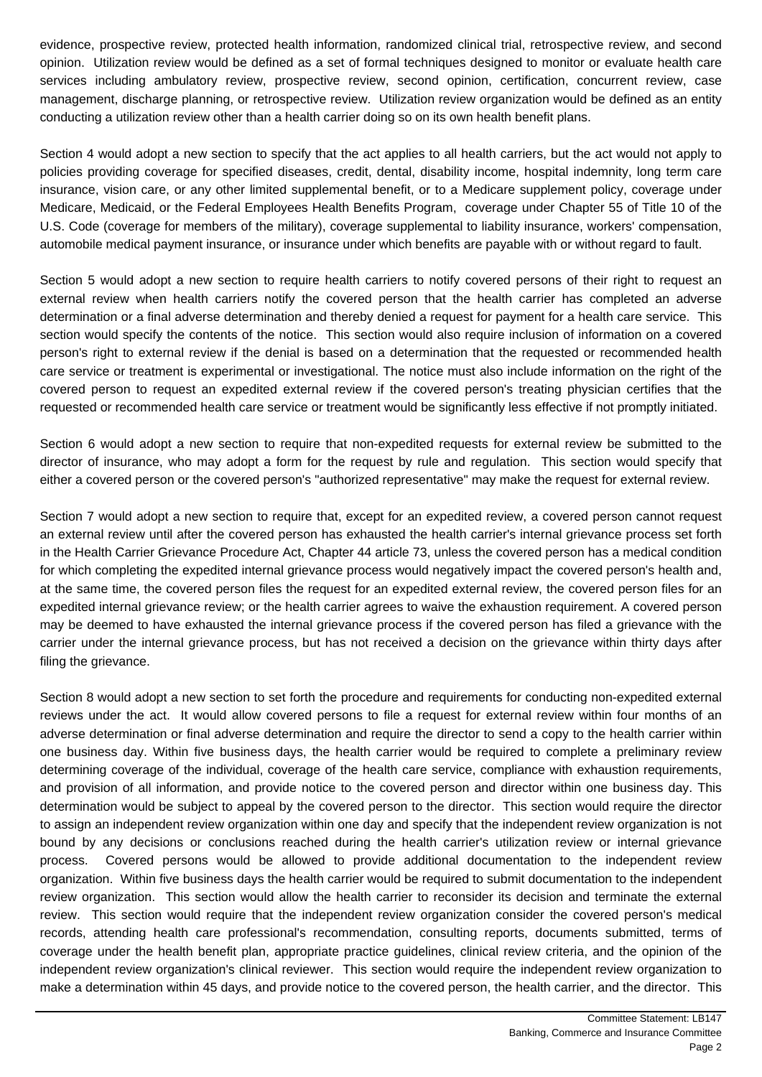evidence, prospective review, protected health information, randomized clinical trial, retrospective review, and second opinion. Utilization review would be defined as a set of formal techniques designed to monitor or evaluate health care services including ambulatory review, prospective review, second opinion, certification, concurrent review, case management, discharge planning, or retrospective review. Utilization review organization would be defined as an entity conducting a utilization review other than a health carrier doing so on its own health benefit plans.

Section 4 would adopt a new section to specify that the act applies to all health carriers, but the act would not apply to policies providing coverage for specified diseases, credit, dental, disability income, hospital indemnity, long term care insurance, vision care, or any other limited supplemental benefit, or to a Medicare supplement policy, coverage under Medicare, Medicaid, or the Federal Employees Health Benefits Program, coverage under Chapter 55 of Title 10 of the U.S. Code (coverage for members of the military), coverage supplemental to liability insurance, workers' compensation, automobile medical payment insurance, or insurance under which benefits are payable with or without regard to fault.

Section 5 would adopt a new section to require health carriers to notify covered persons of their right to request an external review when health carriers notify the covered person that the health carrier has completed an adverse determination or a final adverse determination and thereby denied a request for payment for a health care service. This section would specify the contents of the notice. This section would also require inclusion of information on a covered person's right to external review if the denial is based on a determination that the requested or recommended health care service or treatment is experimental or investigational. The notice must also include information on the right of the covered person to request an expedited external review if the covered person's treating physician certifies that the requested or recommended health care service or treatment would be significantly less effective if not promptly initiated.

Section 6 would adopt a new section to require that non-expedited requests for external review be submitted to the director of insurance, who may adopt a form for the request by rule and regulation. This section would specify that either a covered person or the covered person's "authorized representative" may make the request for external review.

Section 7 would adopt a new section to require that, except for an expedited review, a covered person cannot request an external review until after the covered person has exhausted the health carrier's internal grievance process set forth in the Health Carrier Grievance Procedure Act, Chapter 44 article 73, unless the covered person has a medical condition for which completing the expedited internal grievance process would negatively impact the covered person's health and, at the same time, the covered person files the request for an expedited external review, the covered person files for an expedited internal grievance review; or the health carrier agrees to waive the exhaustion requirement. A covered person may be deemed to have exhausted the internal grievance process if the covered person has filed a grievance with the carrier under the internal grievance process, but has not received a decision on the grievance within thirty days after filing the grievance.

Section 8 would adopt a new section to set forth the procedure and requirements for conducting non-expedited external reviews under the act. It would allow covered persons to file a request for external review within four months of an adverse determination or final adverse determination and require the director to send a copy to the health carrier within one business day. Within five business days, the health carrier would be required to complete a preliminary review determining coverage of the individual, coverage of the health care service, compliance with exhaustion requirements, and provision of all information, and provide notice to the covered person and director within one business day. This determination would be subject to appeal by the covered person to the director. This section would require the director to assign an independent review organization within one day and specify that the independent review organization is not bound by any decisions or conclusions reached during the health carrier's utilization review or internal grievance process. Covered persons would be allowed to provide additional documentation to the independent review organization. Within five business days the health carrier would be required to submit documentation to the independent review organization. This section would allow the health carrier to reconsider its decision and terminate the external review. This section would require that the independent review organization consider the covered person's medical records, attending health care professional's recommendation, consulting reports, documents submitted, terms of coverage under the health benefit plan, appropriate practice guidelines, clinical review criteria, and the opinion of the independent review organization's clinical reviewer. This section would require the independent review organization to make a determination within 45 days, and provide notice to the covered person, the health carrier, and the director. This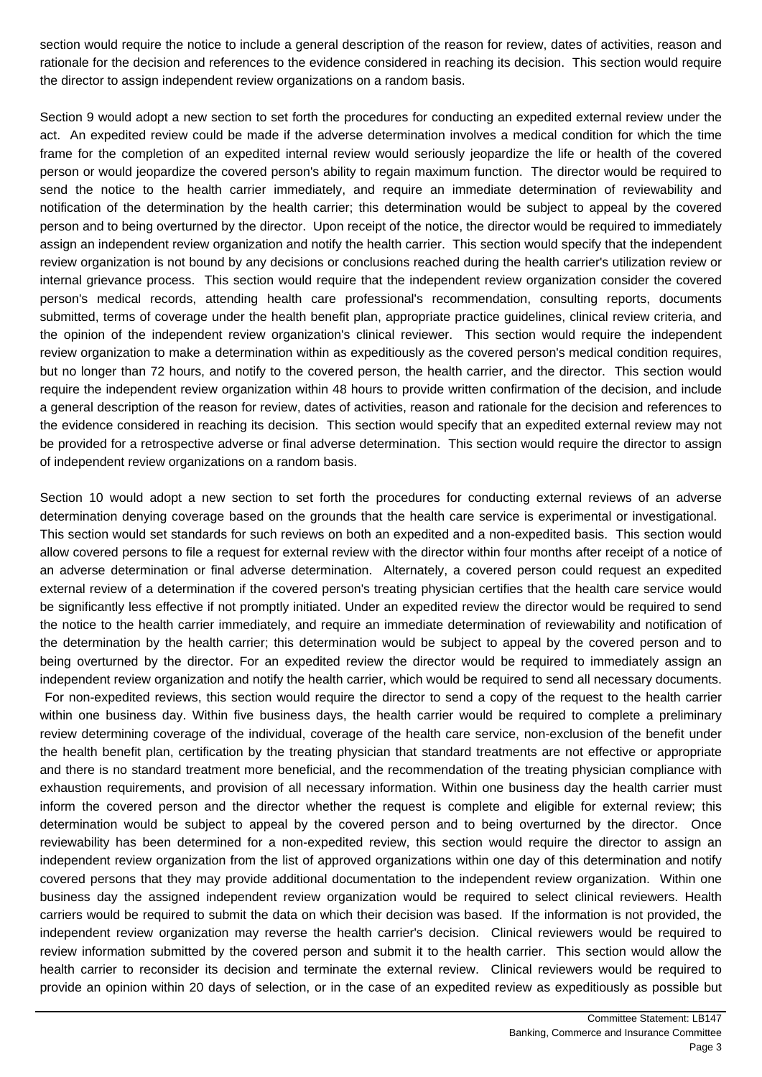section would require the notice to include a general description of the reason for review, dates of activities, reason and rationale for the decision and references to the evidence considered in reaching its decision. This section would require the director to assign independent review organizations on a random basis.

Section 9 would adopt a new section to set forth the procedures for conducting an expedited external review under the act. An expedited review could be made if the adverse determination involves a medical condition for which the time frame for the completion of an expedited internal review would seriously jeopardize the life or health of the covered person or would jeopardize the covered person's ability to regain maximum function. The director would be required to send the notice to the health carrier immediately, and require an immediate determination of reviewability and notification of the determination by the health carrier; this determination would be subject to appeal by the covered person and to being overturned by the director. Upon receipt of the notice, the director would be required to immediately assign an independent review organization and notify the health carrier. This section would specify that the independent review organization is not bound by any decisions or conclusions reached during the health carrier's utilization review or internal grievance process. This section would require that the independent review organization consider the covered person's medical records, attending health care professional's recommendation, consulting reports, documents submitted, terms of coverage under the health benefit plan, appropriate practice guidelines, clinical review criteria, and the opinion of the independent review organization's clinical reviewer. This section would require the independent review organization to make a determination within as expeditiously as the covered person's medical condition requires, but no longer than 72 hours, and notify to the covered person, the health carrier, and the director. This section would require the independent review organization within 48 hours to provide written confirmation of the decision, and include a general description of the reason for review, dates of activities, reason and rationale for the decision and references to the evidence considered in reaching its decision. This section would specify that an expedited external review may not be provided for a retrospective adverse or final adverse determination. This section would require the director to assign of independent review organizations on a random basis.

Section 10 would adopt a new section to set forth the procedures for conducting external reviews of an adverse determination denying coverage based on the grounds that the health care service is experimental or investigational. This section would set standards for such reviews on both an expedited and a non-expedited basis. This section would allow covered persons to file a request for external review with the director within four months after receipt of a notice of an adverse determination or final adverse determination. Alternately, a covered person could request an expedited external review of a determination if the covered person's treating physician certifies that the health care service would be significantly less effective if not promptly initiated. Under an expedited review the director would be required to send the notice to the health carrier immediately, and require an immediate determination of reviewability and notification of the determination by the health carrier; this determination would be subject to appeal by the covered person and to being overturned by the director. For an expedited review the director would be required to immediately assign an independent review organization and notify the health carrier, which would be required to send all necessary documents. For non-expedited reviews, this section would require the director to send a copy of the request to the health carrier within one business day. Within five business days, the health carrier would be required to complete a preliminary review determining coverage of the individual, coverage of the health care service, non-exclusion of the benefit under the health benefit plan, certification by the treating physician that standard treatments are not effective or appropriate and there is no standard treatment more beneficial, and the recommendation of the treating physician compliance with exhaustion requirements, and provision of all necessary information. Within one business day the health carrier must inform the covered person and the director whether the request is complete and eligible for external review; this determination would be subject to appeal by the covered person and to being overturned by the director. Once reviewability has been determined for a non-expedited review, this section would require the director to assign an independent review organization from the list of approved organizations within one day of this determination and notify covered persons that they may provide additional documentation to the independent review organization. Within one business day the assigned independent review organization would be required to select clinical reviewers. Health carriers would be required to submit the data on which their decision was based. If the information is not provided, the independent review organization may reverse the health carrier's decision. Clinical reviewers would be required to review information submitted by the covered person and submit it to the health carrier. This section would allow the health carrier to reconsider its decision and terminate the external review. Clinical reviewers would be required to provide an opinion within 20 days of selection, or in the case of an expedited review as expeditiously as possible but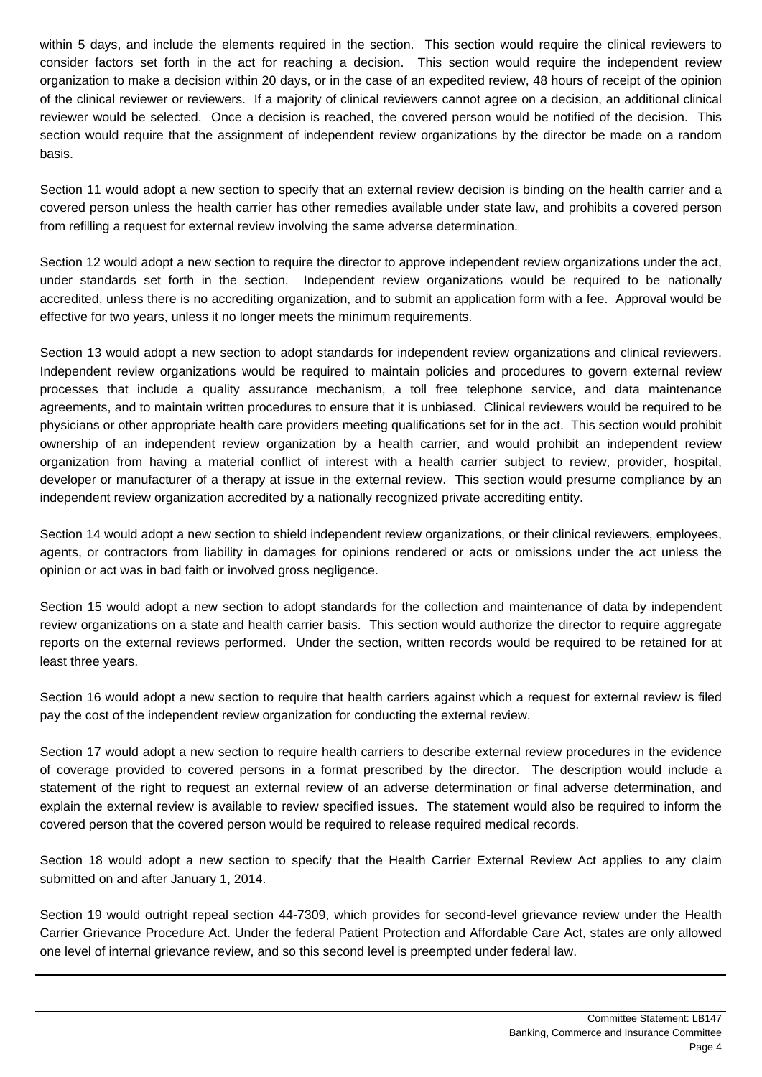within 5 days, and include the elements required in the section. This section would require the clinical reviewers to consider factors set forth in the act for reaching a decision. This section would require the independent review organization to make a decision within 20 days, or in the case of an expedited review, 48 hours of receipt of the opinion of the clinical reviewer or reviewers. If a majority of clinical reviewers cannot agree on a decision, an additional clinical reviewer would be selected. Once a decision is reached, the covered person would be notified of the decision. This section would require that the assignment of independent review organizations by the director be made on a random basis.

Section 11 would adopt a new section to specify that an external review decision is binding on the health carrier and a covered person unless the health carrier has other remedies available under state law, and prohibits a covered person from refilling a request for external review involving the same adverse determination.

Section 12 would adopt a new section to require the director to approve independent review organizations under the act, under standards set forth in the section. Independent review organizations would be required to be nationally accredited, unless there is no accrediting organization, and to submit an application form with a fee. Approval would be effective for two years, unless it no longer meets the minimum requirements.

Section 13 would adopt a new section to adopt standards for independent review organizations and clinical reviewers. Independent review organizations would be required to maintain policies and procedures to govern external review processes that include a quality assurance mechanism, a toll free telephone service, and data maintenance agreements, and to maintain written procedures to ensure that it is unbiased. Clinical reviewers would be required to be physicians or other appropriate health care providers meeting qualifications set for in the act. This section would prohibit ownership of an independent review organization by a health carrier, and would prohibit an independent review organization from having a material conflict of interest with a health carrier subject to review, provider, hospital, developer or manufacturer of a therapy at issue in the external review. This section would presume compliance by an independent review organization accredited by a nationally recognized private accrediting entity.

Section 14 would adopt a new section to shield independent review organizations, or their clinical reviewers, employees, agents, or contractors from liability in damages for opinions rendered or acts or omissions under the act unless the opinion or act was in bad faith or involved gross negligence.

Section 15 would adopt a new section to adopt standards for the collection and maintenance of data by independent review organizations on a state and health carrier basis. This section would authorize the director to require aggregate reports on the external reviews performed. Under the section, written records would be required to be retained for at least three years.

Section 16 would adopt a new section to require that health carriers against which a request for external review is filed pay the cost of the independent review organization for conducting the external review.

Section 17 would adopt a new section to require health carriers to describe external review procedures in the evidence of coverage provided to covered persons in a format prescribed by the director. The description would include a statement of the right to request an external review of an adverse determination or final adverse determination, and explain the external review is available to review specified issues. The statement would also be required to inform the covered person that the covered person would be required to release required medical records.

Section 18 would adopt a new section to specify that the Health Carrier External Review Act applies to any claim submitted on and after January 1, 2014.

Section 19 would outright repeal section 44-7309, which provides for second-level grievance review under the Health Carrier Grievance Procedure Act. Under the federal Patient Protection and Affordable Care Act, states are only allowed one level of internal grievance review, and so this second level is preempted under federal law.